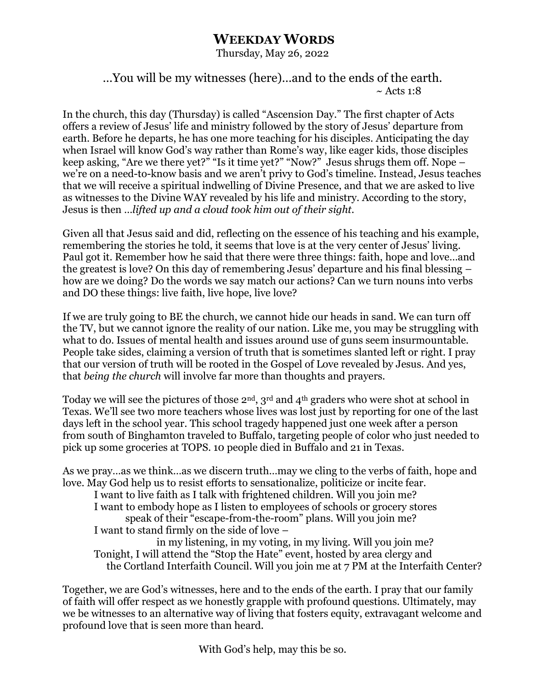# **WEEKDAY WORDS**

Thursday, May 26, 2022

…You will be my witnesses (here)…and to the ends of the earth.  $\sim$  Acts 1:8

In the church, this day (Thursday) is called "Ascension Day." The first chapter of Acts offers a review of Jesus' life and ministry followed by the story of Jesus' departure from earth. Before he departs, he has one more teaching for his disciples. Anticipating the day when Israel will know God's way rather than Rome's way, like eager kids, those disciples keep asking, "Are we there yet?" "Is it time yet?" "Now?" Jesus shrugs them off. Nope – we're on a need-to-know basis and we aren't privy to God's timeline. Instead, Jesus teaches that we will receive a spiritual indwelling of Divine Presence, and that we are asked to live as witnesses to the Divine WAY revealed by his life and ministry. According to the story, Jesus is then …*lifted up and a cloud took him out of their sight.*

Given all that Jesus said and did, reflecting on the essence of his teaching and his example, remembering the stories he told, it seems that love is at the very center of Jesus' living. Paul got it. Remember how he said that there were three things: faith, hope and love…and the greatest is love? On this day of remembering Jesus' departure and his final blessing – how are we doing? Do the words we say match our actions? Can we turn nouns into verbs and DO these things: live faith, live hope, live love?

If we are truly going to BE the church, we cannot hide our heads in sand. We can turn off the TV, but we cannot ignore the reality of our nation. Like me, you may be struggling with what to do. Issues of mental health and issues around use of guns seem insurmountable. People take sides, claiming a version of truth that is sometimes slanted left or right. I pray that our version of truth will be rooted in the Gospel of Love revealed by Jesus. And yes, that *being the church* will involve far more than thoughts and prayers.

Today we will see the pictures of those 2nd, 3rd and 4th graders who were shot at school in Texas. We'll see two more teachers whose lives was lost just by reporting for one of the last days left in the school year. This school tragedy happened just one week after a person from south of Binghamton traveled to Buffalo, targeting people of color who just needed to pick up some groceries at TOPS. 10 people died in Buffalo and 21 in Texas.

As we pray…as we think…as we discern truth…may we cling to the verbs of faith, hope and love. May God help us to resist efforts to sensationalize, politicize or incite fear. I want to live faith as I talk with frightened children. Will you join me? I want to embody hope as I listen to employees of schools or grocery stores speak of their "escape-from-the-room" plans. Will you join me? I want to stand firmly on the side of love – in my listening, in my voting, in my living. Will you join me? Tonight, I will attend the "Stop the Hate" event, hosted by area clergy and the Cortland Interfaith Council. Will you join me at 7 PM at the Interfaith Center?

Together, we are God's witnesses, here and to the ends of the earth. I pray that our family of faith will offer respect as we honestly grapple with profound questions. Ultimately, may we be witnesses to an alternative way of living that fosters equity, extravagant welcome and profound love that is seen more than heard.

With God's help, may this be so.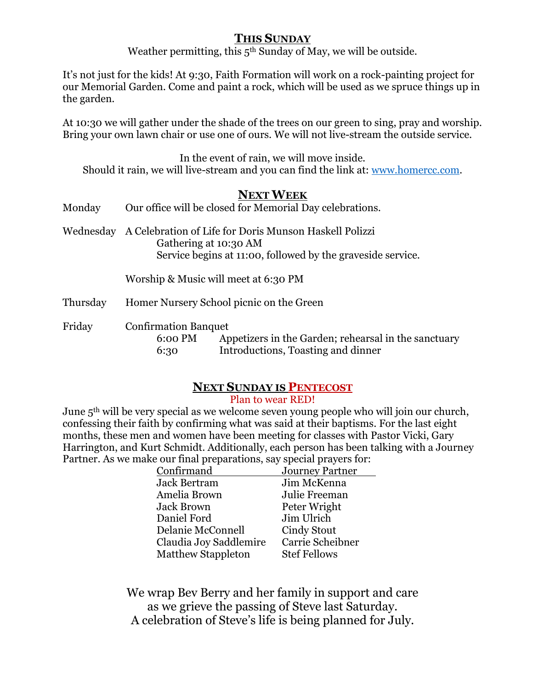### **THIS SUNDAY**

Weather permitting, this 5<sup>th</sup> Sunday of May, we will be outside.

It's not just for the kids! At 9:30, Faith Formation will work on a rock-painting project for our Memorial Garden. Come and paint a rock, which will be used as we spruce things up in the garden.

At 10:30 we will gather under the shade of the trees on our green to sing, pray and worship. Bring your own lawn chair or use one of ours. We will not live-stream the outside service.

In the event of rain, we will move inside. Should it rain, we will live-stream and you can find the link at: [www.homercc.com.](http://www.homercc.com/)

## **NEXT WEEK**

Monday Our office will be closed for Memorial Day celebrations.

Wednesday A Celebration of Life for Doris Munson Haskell Polizzi Gathering at 10:30 AM Service begins at 11:00, followed by the graveside service.

Worship & Music will meet at 6:30 PM

- Thursday Homer Nursery School picnic on the Green
- Friday Confirmation Banquet

6:00 PM Appetizers in the Garden; rehearsal in the sanctuary 6:30 Introductions, Toasting and dinner

### **NEXT SUNDAY IS PENTECOST**

### Plan to wear RED!

June 5th will be very special as we welcome seven young people who will join our church, confessing their faith by confirming what was said at their baptisms. For the last eight months, these men and women have been meeting for classes with Pastor Vicki, Gary Harrington, and Kurt Schmidt. Additionally, each person has been talking with a Journey Partner. As we make our final preparations, say special prayers for:

| Confirmand                | <b>Journey Partner</b> |
|---------------------------|------------------------|
| <b>Jack Bertram</b>       | Jim McKenna            |
| Amelia Brown              | Julie Freeman          |
| <b>Jack Brown</b>         | Peter Wright           |
| Daniel Ford               | Jim Ulrich             |
| Delanie McConnell         | Cindy Stout            |
| Claudia Joy Saddlemire    | Carrie Scheibner       |
| <b>Matthew Stappleton</b> | <b>Stef Fellows</b>    |

We wrap Bev Berry and her family in support and care as we grieve the passing of Steve last Saturday. A celebration of Steve's life is being planned for July.